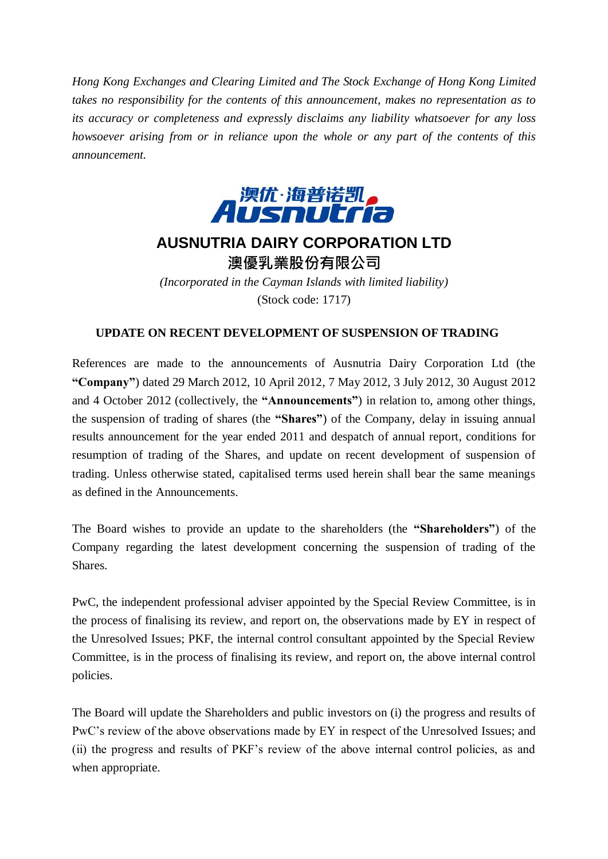*Hong Kong Exchanges and Clearing Limited and The Stock Exchange of Hong Kong Limited takes no responsibility for the contents of this announcement, makes no representation as to its accuracy or completeness and expressly disclaims any liability whatsoever for any loss howsoever arising from or in reliance upon the whole or any part of the contents of this announcement.*



## **AUSNUTRIA DAIRY CORPORATION LTD** 澳優乳業股份有限公司

*(Incorporated in the Cayman Islands with limited liability)* (Stock code: 1717)

## **UPDATE ON RECENT DEVELOPMENT OF SUSPENSION OF TRADING**

References are made to the announcements of Ausnutria Dairy Corporation Ltd (the **"Company"**) dated 29 March 2012, 10 April 2012, 7 May 2012, 3 July 2012, 30 August 2012 and 4 October 2012 (collectively, the **"Announcements"**) in relation to, among other things, the suspension of trading of shares (the **"Shares"**) of the Company, delay in issuing annual results announcement for the year ended 2011 and despatch of annual report, conditions for resumption of trading of the Shares, and update on recent development of suspension of trading. Unless otherwise stated, capitalised terms used herein shall bear the same meanings as defined in the Announcements.

The Board wishes to provide an update to the shareholders (the **"Shareholders"**) of the Company regarding the latest development concerning the suspension of trading of the Shares.

PwC, the independent professional adviser appointed by the Special Review Committee, is in the process of finalising its review, and report on, the observations made by EY in respect of the Unresolved Issues; PKF, the internal control consultant appointed by the Special Review Committee, is in the process of finalising its review, and report on, the above internal control policies.

The Board will update the Shareholders and public investors on (i) the progress and results of PwC's review of the above observations made by EY in respect of the Unresolved Issues; and (ii) the progress and results of PKF's review of the above internal control policies, as and when appropriate.